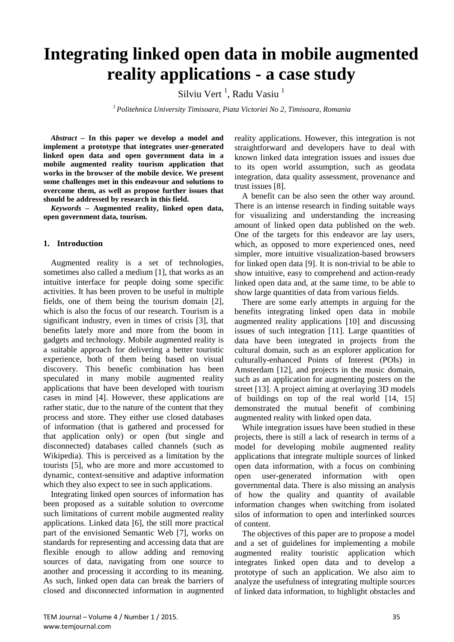# **Integrating linked open data in mobile augmented reality applications - a case study**

Silviu Vert<sup>1</sup>, Radu Vasiu<sup>1</sup>

*1 Politehnica University Timisoara, Piata Victoriei No 2, Timisoara, Romania*

*Abstract –* **In this paper we develop a model and implement a prototype that integrates user-generated linked open data and open government data in a mobile augmented reality tourism application that works in the browser of the mobile device. We present some challenges met in this endeavour and solutions to overcome them, as well as propose further issues that should be addressed by research in this field.** 

*Keywords –* **Augmented reality, linked open data, open government data, tourism.**

# **1. Introduction**

Augmented reality is a set of technologies, sometimes also called a medium [1], that works as an intuitive interface for people doing some specific activities. It has been proven to be useful in multiple fields, one of them being the tourism domain [2], which is also the focus of our research. Tourism is a significant industry, even in times of crisis [3], that benefits lately more and more from the boom in gadgets and technology. Mobile augmented reality is a suitable approach for delivering a better touristic experience, both of them being based on visual discovery. This benefic combination has been speculated in many mobile augmented reality applications that have been developed with tourism cases in mind [4]. However, these applications are rather static, due to the nature of the content that they process and store. They either use closed databases of information (that is gathered and processed for that application only) or open (but single and disconnected) databases called channels (such as Wikipedia). This is perceived as a limitation by the tourists [5], who are more and more accustomed to dynamic, context-sensitive and adaptive information which they also expect to see in such applications.

Integrating linked open sources of information has been proposed as a suitable solution to overcome such limitations of current mobile augmented reality applications. Linked data [6], the still more practical part of the envisioned Semantic Web [7], works on standards for representing and accessing data that are flexible enough to allow adding and removing sources of data, navigating from one source to another and processing it according to its meaning. As such, linked open data can break the barriers of closed and disconnected information in augmented reality applications. However, this integration is not straightforward and developers have to deal with known linked data integration issues and issues due to its open world assumption, such as geodata integration, data quality assessment, provenance and trust issues [8].

A benefit can be also seen the other way around. There is an intense research in finding suitable ways for visualizing and understanding the increasing amount of linked open data published on the web. One of the targets for this endeavor are lay users, which, as opposed to more experienced ones, need simpler, more intuitive visualization-based browsers for linked open data [9]. It is non-trivial to be able to show intuitive, easy to comprehend and action-ready linked open data and, at the same time, to be able to show large quantities of data from various fields.

There are some early attempts in arguing for the benefits integrating linked open data in mobile augmented reality applications [10] and discussing issues of such integration [11]. Large quantities of data have been integrated in projects from the cultural domain, such as an explorer application for culturally-enhanced Points of Interest (POIs) in Amsterdam [12], and projects in the music domain, such as an application for augmenting posters on the street [13]. A project aiming at overlaying 3D models of buildings on top of the real world [14, 15] demonstrated the mutual benefit of combining augmented reality with linked open data.

While integration issues have been studied in these projects, there is still a lack of research in terms of a model for developing mobile augmented reality applications that integrate multiple sources of linked open data information, with a focus on combining open user-generated information with open governmental data. There is also missing an analysis of how the quality and quantity of available information changes when switching from isolated silos of information to open and interlinked sources of content.

The objectives of this paper are to propose a model and a set of guidelines for implementing a mobile augmented reality touristic application which integrates linked open data and to develop a prototype of such an application. We also aim to analyze the usefulness of integrating multiple sources of linked data information, to highlight obstacles and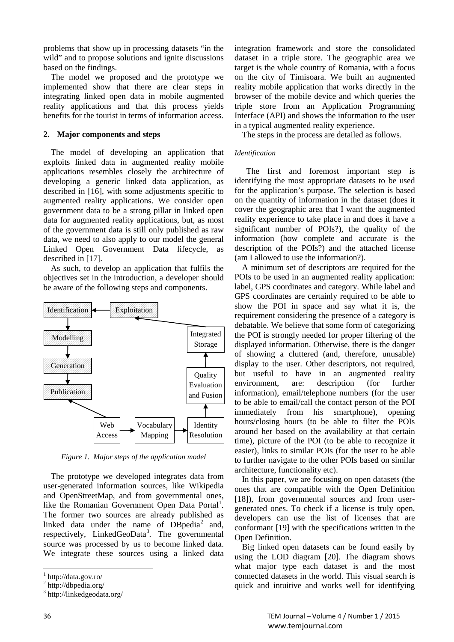problems that show up in processing datasets "in the wild" and to propose solutions and ignite discussions based on the findings.

The model we proposed and the prototype we implemented show that there are clear steps in integrating linked open data in mobile augmented reality applications and that this process yields benefits for the tourist in terms of information access.

# **2. Major components and steps**

The model of developing an application that exploits linked data in augmented reality mobile applications resembles closely the architecture of developing a generic linked data application, as described in [16], with some adjustments specific to augmented reality applications. We consider open government data to be a strong pillar in linked open data for augmented reality applications, but, as most of the government data is still only published as raw data, we need to also apply to our model the general Linked Open Government Data lifecycle, as described in [17].

As such, to develop an application that fulfils the objectives set in the introduction, a developer should be aware of the following steps and components.



*Figure 1. Major steps of the application model*

The prototype we developed integrates data from user-generated information sources, like Wikipedia and OpenStreetMap, and from governmental ones, like the Romanian Government Open Data Portal<sup>[1](#page-1-0)</sup>. The former two sources are already published as linked data under the name of  $DBpedia<sup>2</sup>$  $DBpedia<sup>2</sup>$  $DBpedia<sup>2</sup>$  and, respectively, LinkedGeoData<sup>[3](#page-1-2)</sup>. The governmental source was processed by us to become linked data. We integrate these sources using a linked data

integration framework and store the consolidated dataset in a triple store. The geographic area we target is the whole country of Romania, with a focus on the city of Timisoara. We built an augmented reality mobile application that works directly in the browser of the mobile device and which queries the triple store from an Application Programming Interface (API) and shows the information to the user in a typical augmented reality experience.

The steps in the process are detailed as follows.

#### *Identification*

 The first and foremost important step is identifying the most appropriate datasets to be used for the application's purpose. The selection is based on the quantity of information in the dataset (does it cover the geographic area that I want the augmented reality experience to take place in and does it have a significant number of POIs?), the quality of the information (how complete and accurate is the description of the POIs?) and the attached license (am I allowed to use the information?).

A minimum set of descriptors are required for the POIs to be used in an augmented reality application: label, GPS coordinates and category. While label and GPS coordinates are certainly required to be able to show the POI in space and say what it is, the requirement considering the presence of a category is debatable. We believe that some form of categorizing the POI is strongly needed for proper filtering of the displayed information. Otherwise, there is the danger of showing a cluttered (and, therefore, unusable) display to the user. Other descriptors, not required, but useful to have in an augmented reality environment, are: description (for further information), email/telephone numbers (for the user to be able to email/call the contact person of the POI immediately from his smartphone), opening hours/closing hours (to be able to filter the POIs around her based on the availability at that certain time), picture of the POI (to be able to recognize it easier), links to similar POIs (for the user to be able to further navigate to the other POIs based on similar architecture, functionality etc).

In this paper, we are focusing on open datasets (the ones that are compatible with the Open Definition [18]), from governmental sources and from usergenerated ones. To check if a license is truly open, developers can use the list of licenses that are conformant [19] with the specifications written in the Open Definition.

Big linked open datasets can be found easily by using the LOD diagram [20]. The diagram shows what major type each dataset is and the most connected datasets in the world. This visual search is quick and intuitive and works well for identifying

<span id="page-1-0"></span><sup>1</sup> http://data.gov.ro/

<span id="page-1-1"></span><sup>2</sup> http://dbpedia.org/

<span id="page-1-2"></span><sup>3</sup> http://linkedgeodata.org/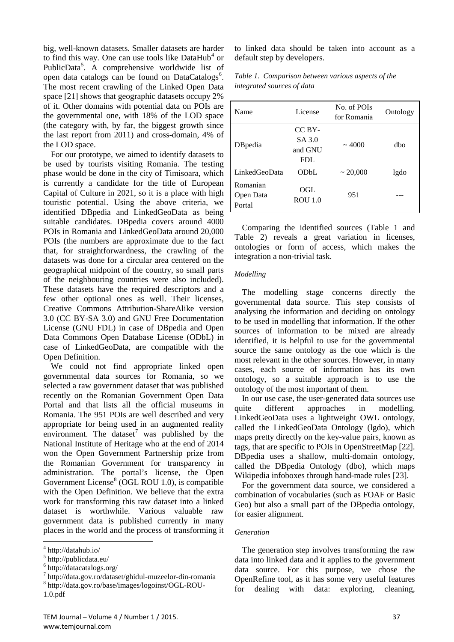big, well-known datasets. Smaller datasets are harder to find this way. One can use tools like  $DataHub<sup>4</sup>$  $DataHub<sup>4</sup>$  $DataHub<sup>4</sup>$  or PublicData<sup>[5](#page-2-0)</sup>. A comprehensive worldwide list of open data catalogs can be found on DataCatalogs<sup>[6](#page-2-0)</sup>. The most recent crawling of the Linked Open Data space [21] shows that geographic datasets occupy 2% of it. Other domains with potential data on POIs are the governmental one, with 18% of the LOD space (the category with, by far, the biggest growth since the last report from 2011) and cross-domain, 4% of the LOD space.

For our prototype, we aimed to identify datasets to be used by tourists visiting Romania. The testing phase would be done in the city of Timisoara, which is currently a candidate for the title of European Capital of Culture in 2021, so it is a place with high touristic potential. Using the above criteria, we identified DBpedia and LinkedGeoData as being suitable candidates. DBpedia covers around 4000 POIs in Romania and LinkedGeoData around 20,000 POIs (the numbers are approximate due to the fact that, for straightforwardness, the crawling of the datasets was done for a circular area centered on the geographical midpoint of the country, so small parts of the neighbouring countries were also included). These datasets have the required descriptors and a few other optional ones as well. Their licenses, Creative Commons Attribution-ShareAlike version 3.0 (CC BY-SA 3.0) and GNU Free Documentation License (GNU FDL) in case of DBpedia and Open Data Commons Open Database License (ODbL) in case of LinkedGeoData, are compatible with the Open Definition.

We could not find appropriate linked open governmental data sources for Romania, so we selected a raw government dataset that was published recently on the Romanian Government Open Data Portal and that lists all the official museums in Romania. The 951 POIs are well described and very appropriate for being used in an augmented reality environment. The dataset<sup>[7](#page-2-0)</sup> was published by the National Institute of Heritage who at the end of 2014 won the Open Government Partnership prize from the Romanian Government for transparency in administration. The portal's license, the Open Government License $8$  (OGL ROU 1.0), is compatible with the Open Definition. We believe that the extra work for transforming this raw dataset into a linked dataset is worthwhile. Various valuable raw government data is published currently in many places in the world and the process of transforming it to linked data should be taken into account as a default step by developers.

*Table 1. Comparison between various aspects of the integrated sources of data*

| Name                            | License                             | No. of POIs<br>for Romania | Ontology |
|---------------------------------|-------------------------------------|----------------------------|----------|
| DB pedia                        | CC BY-<br>SA 3.0<br>and GNU<br>FDL. | $\sim 4000$                | dbo      |
| LinkedGeoData                   | ODbL                                | $\sim 20,000$              | lgdo     |
| Romanian<br>Open Data<br>Portal | OGL<br><b>ROU</b> 1.0               | 951                        |          |

Comparing the identified sources (Table 1 and Table 2) reveals a great variation in licenses, ontologies or form of access, which makes the integration a non-trivial task.

#### *Modelling*

The modelling stage concerns directly the governmental data source. This step consists of analysing the information and deciding on ontology to be used in modelling that information. If the other sources of information to be mixed are already identified, it is helpful to use for the governmental source the same ontology as the one which is the most relevant in the other sources. However, in many cases, each source of information has its own ontology, so a suitable approach is to use the ontology of the most important of them.

In our use case, the user-generated data sources use quite different approaches in modelling. LinkedGeoData uses a lightweight OWL ontology, called the LinkedGeoData Ontology (lgdo), which maps pretty directly on the key-value pairs, known as tags, that are specific to POIs in OpenStreetMap [22]. DBpedia uses a shallow, multi-domain ontology, called the DBpedia Ontology (dbo), which maps Wikipedia infoboxes through hand-made rules [23].

For the government data source, we considered a combination of vocabularies (such as FOAF or Basic Geo) but also a small part of the DBpedia ontology, for easier alignment.

#### *Generation*

The generation step involves transforming the raw data into linked data and it applies to the government data source. For this purpose, we chose the OpenRefine tool, as it has some very useful features for dealing with data: exploring, cleaning,

<span id="page-2-0"></span><sup>4</sup> http://datahub.io/

<sup>5</sup> http://publicdata.eu/

 $^{6}$  http://datacatalogs.org/

<sup>7</sup> http://data.gov.ro/dataset/ghidul-muzeelor-din-romania <sup>8</sup> http://data.gov.ro/base/images/logoinst/OGL-ROU-1.0.pdf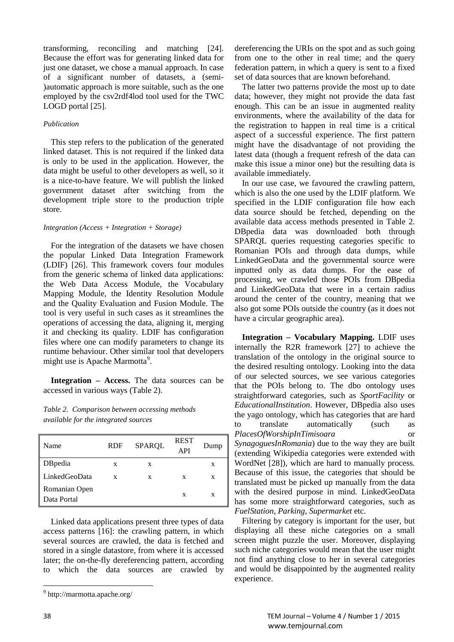transforming, reconciling and matching [24]. Because the effort was for generating linked data for just one dataset, we chose a manual approach. In case of a significant number of datasets, a (semi- )automatic approach is more suitable, such as the one employed by the csv2rdf4lod tool used for the TWC LOGD portal [25].

## *Publication*

This step refers to the publication of the generated linked dataset. This is not required if the linked data is only to be used in the application. However, the data might be useful to other developers as well, so it is a nice-to-have feature. We will publish the linked government dataset after switching from the development triple store to the production triple store.

## *Integration (Access + Integration + Storage)*

For the integration of the datasets we have chosen the popular Linked Data Integration Framework (LDIF) [26]. This framework covers four modules from the generic schema of linked data applications: the Web Data Access Module, the Vocabulary Mapping Module, the Identity Resolution Module and the Quality Evaluation and Fusion Module. The tool is very useful in such cases as it streamlines the operations of accessing the data, aligning it, merging it and checking its quality. LDIF has configuration files where one can modify parameters to change its runtime behaviour. Other similar tool that developers might use is Apache Marmotta<sup>[9](#page-3-0)</sup>.

**Integration – Access.** The data sources can be accessed in various ways (Table 2).

# *Table 2. Comparison between accessing methods available for the integrated sources*

| Name                         | <b>RDF</b> | <b>SPARQL</b> | <b>REST</b><br>API | Dump |
|------------------------------|------------|---------------|--------------------|------|
| DB pedia                     | X          | X             |                    | X    |
| LinkedGeoData                | X          | X             | X                  | X    |
| Romanian Open<br>Data Portal |            |               | X                  | X    |

Linked data applications present three types of data access patterns [16]: the crawling pattern, in which several sources are crawled, the data is fetched and stored in a single datastore, from where it is accessed later; the on-the-fly dereferencing pattern, according to which the data sources are crawled by

dereferencing the URIs on the spot and as such going from one to the other in real time; and the query federation pattern, in which a query is sent to a fixed set of data sources that are known beforehand.

The latter two patterns provide the most up to date data; however, they might not provide the data fast enough. This can be an issue in augmented reality environments, where the availability of the data for the registration to happen in real time is a critical aspect of a successful experience. The first pattern might have the disadvantage of not providing the latest data (though a frequent refresh of the data can make this issue a minor one) but the resulting data is available immediately.

In our use case, we favoured the crawling pattern, which is also the one used by the LDIF platform. We specified in the LDIF configuration file how each data source should be fetched, depending on the available data access methods presented in Table 2. DBpedia data was downloaded both through SPARQL queries requesting categories specific to Romanian POIs and through data dumps, while LinkedGeoData and the governmental source were inputted only as data dumps. For the ease of processing, we crawled those POIs from DBpedia and LinkedGeoData that were in a certain radius around the center of the country, meaning that we also got some POIs outside the country (as it does not have a circular geographic area).

**Integration – Vocabulary Mapping.** LDIF uses internally the R2R framework [27] to achieve the translation of the ontology in the original source to the desired resulting ontology. Looking into the data of our selected sources, we see various categories that the POIs belong to. The dbo ontology uses straightforward categories, such as *SportFacility* or *EducationalInstitution*. However, DBpedia also uses the yago ontology, which has categories that are hard to translate automatically (such as *PlacesOfWorshipInTimisoara* or *SynagoguesInRomania*) due to the way they are built (extending Wikipedia categories were extended with WordNet [28]), which are hard to manually process*.* Because of this issue, the categories that should be translated must be picked up manually from the data with the desired purpose in mind. LinkedGeoData has some more straightforward categories, such as *FuelStation*, *Parking*, *Supermarket* etc.

Filtering by category is important for the user, but displaying all these niche categories on a small screen might puzzle the user. Moreover, displaying such niche categories would mean that the user might not find anything close to her in several categories and would be disappointed by the augmented reality experience.

<span id="page-3-0"></span><sup>9</sup> http://marmotta.apache.org/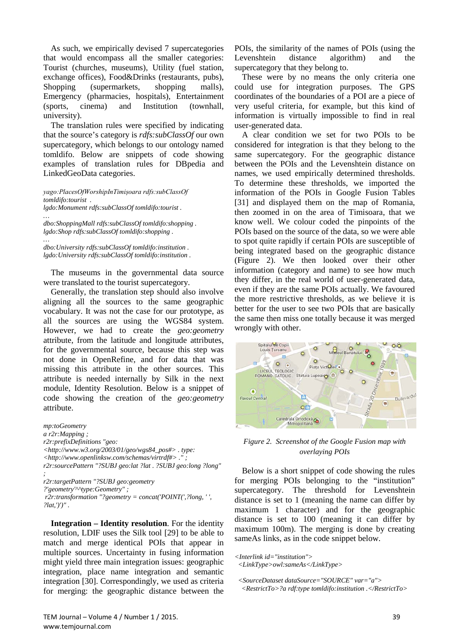As such, we empirically devised 7 supercategories that would encompass all the smaller categories: Tourist (churches, museums), Utility (fuel station, exchange offices), Food&Drinks (restaurants, pubs), Shopping (supermarkets, shopping malls), Emergency (pharmacies, hospitals), Entertainment (sports, cinema) and Institution (townhall, university).

The translation rules were specified by indicating that the source's category is *rdfs:subClassOf* our own supercategory, which belongs to our ontology named tomldifo. Below are snippets of code showing examples of translation rules for DBpedia and LinkedGeoData categories.

*yago:PlacesOfWorshipInTimișoara rdfs:subClassOf tomldifo:tourist . lgdo:Monument rdfs:subClassOf tomldifo:tourist . …*

*dbo:ShoppingMall rdfs:subClassOf tomldifo:shopping . lgdo:Shop rdfs:subClassOf tomldifo:shopping .*

*… dbo:University rdfs:subClassOf tomldifo:institution . lgdo:University rdfs:subClassOf tomldifo:institution .*

The museums in the governmental data source were translated to the tourist supercategory.

Generally, the translation step should also involve aligning all the sources to the same geographic vocabulary. It was not the case for our prototype, as all the sources are using the WGS84 system. However, we had to create the *geo:geometry* attribute, from the latitude and longitude attributes, for the governmental source, because this step was not done in OpenRefine, and for data that was missing this attribute in the other sources. This attribute is needed internally by Silk in the next module, Identity Resolution. Below is a snippet of code showing the creation of the *geo:geometry* attribute.

*mp:toGeometry a r2r:Mapping ; r2r:prefixDefinitions "geo: <http://www.w3.org/2003/01/geo/wgs84\_pos#> . type: <http://www.openlinksw.com/schemas/virtrdf#> ." ; r2r:sourcePattern "?SUBJ geo:lat ?lat . ?SUBJ geo:long ?long" ; r2r:targetPattern "?SUBJ geo:geometry ?'geometry'^^type:Geometry" ; r2r:transformation "?geometry = concat('POINT(',?long, ' ',* 

*?lat,')')" .*

**Integration – Identity resolution**. For the identity resolution, LDIF uses the Silk tool [29] to be able to match and merge identical POIs that appear in multiple sources. Uncertainty in fusing information might yield three main integration issues: geographic integration, place name integration and semantic integration [30]. Correspondingly, we used as criteria for merging: the geographic distance between the POIs, the similarity of the names of POIs (using the Levenshtein distance algorithm) and the supercategory that they belong to.

These were by no means the only criteria one could use for integration purposes. The GPS coordinates of the boundaries of a POI are a piece of very useful criteria, for example, but this kind of information is virtually impossible to find in real user-generated data.

A clear condition we set for two POIs to be considered for integration is that they belong to the same supercategory. For the geographic distance between the POIs and the Levenshtein distance on names, we used empirically determined thresholds. To determine these thresholds, we imported the information of the POIs in Google Fusion Tables [31] and displayed them on the map of Romania, then zoomed in on the area of Timisoara, that we know well. We colour coded the pinpoints of the POIs based on the source of the data, so we were able to spot quite rapidly if certain POIs are susceptible of being integrated based on the geographic distance (Figure 2). We then looked over their other information (category and name) to see how much they differ, in the real world of user-generated data, even if they are the same POIs actually. We favoured the more restrictive thresholds, as we believe it is better for the user to see two POIs that are basically the same then miss one totally because it was merged wrongly with other.



*Figure 2. Screenshot of the Google Fusion map with overlaying POIs*

Below is a short snippet of code showing the rules for merging POIs belonging to the "institution" supercategory. The threshold for Levenshtein distance is set to 1 (meaning the name can differ by maximum 1 character) and for the geographic distance is set to 100 (meaning it can differ by maximum 100m). The merging is done by creating sameAs links, as in the code snippet below.

*<Interlink id="institution"> <LinkType>owl:sameAs</LinkType>*

 *<SourceDataset dataSource="SOURCE" var="a"> <RestrictTo>?a rdf:type tomldifo:institution .</RestrictTo>*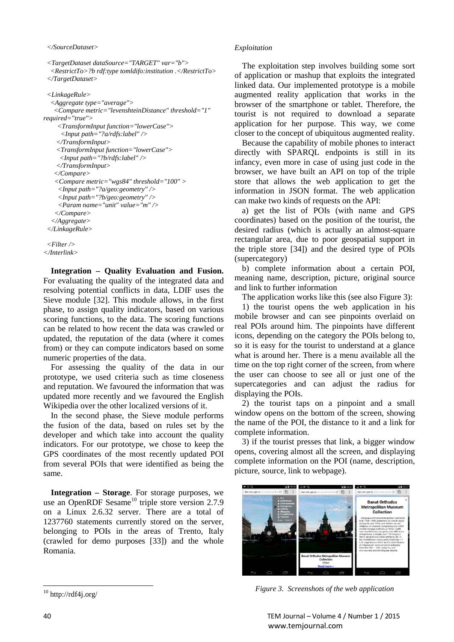*<TargetDataset dataSource="TARGET" var="b"> <RestrictTo>?b rdf:type tomldifo:institution .</RestrictTo> </TargetDataset>*

```
 <LinkageRule>
   <Aggregate type="average">
    <Compare metric="levenshteinDistance" threshold="1" 
required="true">
     <TransformInput function="lowerCase">
      <Input path="?a/rdfs:label" />
     </TransformInput>
     <TransformInput function="lowerCase">
      <Input path="?b/rdfs:label" />
     </TransformInput>
    </Compare>
    <Compare metric="wgs84" threshold="100" >
      <Input path="?a/geo:geometry" />
      <Input path="?b/geo:geometry" />
      <Param name="unit" value="m" />
     </Compare>
  </Aggregate>
  </LinkageRule>
```

```
 <Filter />
</Interlink>
```
**Integration – Quality Evaluation and Fusion.** For evaluating the quality of the integrated data and resolving potential conflicts in data, LDIF uses the Sieve module [32]. This module allows, in the first phase, to assign quality indicators, based on various scoring functions, to the data. The scoring functions can be related to how recent the data was crawled or updated, the reputation of the data (where it comes from) or they can compute indicators based on some numeric properties of the data.

For assessing the quality of the data in our prototype, we used criteria such as time closeness and reputation. We favoured the information that was updated more recently and we favoured the English Wikipedia over the other localized versions of it.

In the second phase, the Sieve module performs the fusion of the data, based on rules set by the developer and which take into account the quality indicators. For our prototype, we chose to keep the GPS coordinates of the most recently updated POI from several POIs that were identified as being the same.

**Integration – Storage**. For storage purposes, we use an OpenRDF Sesame<sup>[10](#page-5-0)</sup> triple store version  $2.7.9$ on a Linux 2.6.32 server. There are a total of 1237760 statements currently stored on the server, belonging to POIs in the areas of Trento, Italy (crawled for demo purposes [33]) and the whole Romania.

#### *Exploitation*

The exploitation step involves building some sort of application or mashup that exploits the integrated linked data. Our implemented prototype is a mobile augmented reality application that works in the browser of the smartphone or tablet. Therefore, the tourist is not required to download a separate application for her purpose. This way, we come closer to the concept of ubiquitous augmented reality.

Because the capability of mobile phones to interact directly with SPARQL endpoints is still in its infancy, even more in case of using just code in the browser, we have built an API on top of the triple store that allows the web application to get the information in JSON format. The web application can make two kinds of requests on the API:

a) get the list of POIs (with name and GPS coordinates) based on the position of the tourist, the desired radius (which is actually an almost-square rectangular area, due to poor geospatial support in the triple store [34]) and the desired type of POIs (supercategory)

b) complete information about a certain POI, meaning name, description, picture, original source and link to further information

The application works like this (see also Figure 3):

1) the tourist opens the web application in his mobile browser and can see pinpoints overlaid on real POIs around him. The pinpoints have different icons, depending on the category the POIs belong to, so it is easy for the tourist to understand at a glance what is around her. There is a menu available all the time on the top right corner of the screen, from where the user can choose to see all or just one of the supercategories and can adjust the radius for displaying the POIs.

2) the tourist taps on a pinpoint and a small window opens on the bottom of the screen, showing the name of the POI, the distance to it and a link for complete information.

3) if the tourist presses that link, a bigger window opens, covering almost all the screen, and displaying complete information on the POI (name, description, picture, source, link to webpage).



*Figure 3. Screenshots of the web application*

<span id="page-5-0"></span><sup>10</sup> http://rdf4j.org/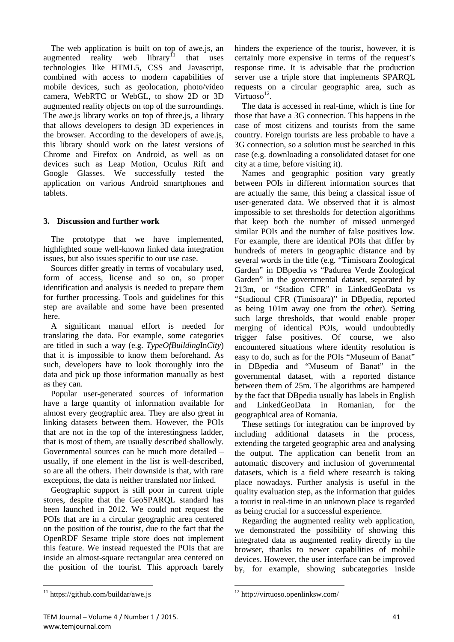The web application is built on top of awe.js, an augmented reality web library<sup>[11](#page-6-0)</sup> that uses technologies like HTML5, CSS and Javascript, combined with access to modern capabilities of mobile devices, such as geolocation, photo/video camera, WebRTC or WebGL, to show 2D or 3D augmented reality objects on top of the surroundings. The awe. is library works on top of three. is, a library that allows developers to design 3D experiences in the browser. According to the developers of awe.js, this library should work on the latest versions of Chrome and Firefox on Android, as well as on devices such as Leap Motion, Oculus Rift and Google Glasses. We successfully tested the application on various Android smartphones and tablets.

# **3. Discussion and further work**

The prototype that we have implemented, highlighted some well-known linked data integration issues, but also issues specific to our use case.

Sources differ greatly in terms of vocabulary used, form of access, license and so on, so proper identification and analysis is needed to prepare them for further processing. Tools and guidelines for this step are available and some have been presented here.

A significant manual effort is needed for translating the data. For example, some categories are titled in such a way (e.g. *TypeOfBuilding*In*City*) that it is impossible to know them beforehand. As such, developers have to look thoroughly into the data and pick up those information manually as best as they can.

Popular user-generated sources of information have a large quantity of information available for almost every geographic area. They are also great in linking datasets between them. However, the POIs that are not in the top of the interestingness ladder, that is most of them, are usually described shallowly. Governmental sources can be much more detailed – usually, if one element in the list is well-described, so are all the others. Their downside is that, with rare exceptions, the data is neither translated nor linked.

Geographic support is still poor in current triple stores, despite that the GeoSPARQL standard has been launched in 2012. We could not request the POIs that are in a circular geographic area centered on the position of the tourist, due to the fact that the OpenRDF Sesame triple store does not implement this feature. We instead requested the POIs that are inside an almost-square rectangular area centered on the position of the tourist. This approach barely hinders the experience of the tourist, however, it is certainly more expensive in terms of the request's response time. It is advisable that the production server use a triple store that implements SPARQL requests on a circular geographic area, such as Virtuoso $^{12}$ .

The data is accessed in real-time, which is fine for those that have a 3G connection. This happens in the case of most citizens and tourists from the same country. Foreign tourists are less probable to have a 3G connection, so a solution must be searched in this case (e.g. downloading a consolidated dataset for one city at a time, before visiting it).

Names and geographic position vary greatly between POIs in different information sources that are actually the same, this being a classical issue of user-generated data. We observed that it is almost impossible to set thresholds for detection algorithms that keep both the number of missed unmerged similar POIs and the number of false positives low. For example, there are identical POIs that differ by hundreds of meters in geographic distance and by several words in the title (e.g. "Timisoara Zoological Garden" in DBpedia vs "Padurea Verde Zoological Garden" in the governmental dataset, separated by 213m, or "Stadion CFR" in LinkedGeoData vs "Stadionul CFR (Timisoara)" in DBpedia, reported as being 101m away one from the other). Setting such large thresholds, that would enable proper merging of identical POIs, would undoubtedly trigger false positives. Of course, we also encountered situations where identity resolution is easy to do, such as for the POIs "Museum of Banat" in DBpedia and "Museum of Banat" in the governmental dataset, with a reported distance between them of 25m. The algorithms are hampered by the fact that DBpedia usually has labels in English and LinkedGeoData in Romanian, for the geographical area of Romania.

These settings for integration can be improved by including additional datasets in the process, extending the targeted geographic area and analysing the output. The application can benefit from an automatic discovery and inclusion of governmental datasets, which is a field where research is taking place nowadays. Further analysis is useful in the quality evaluation step, as the information that guides a tourist in real-time in an unknown place is regarded as being crucial for a successful experience.

Regarding the augmented reality web application, we demonstrated the possibility of showing this integrated data as augmented reality directly in the browser, thanks to newer capabilities of mobile devices. However, the user interface can be improved by, for example, showing subcategories inside

<span id="page-6-0"></span> $11$  https://github.com/buildar/awe.js

<sup>12</sup> http://virtuoso.openlinksw.com/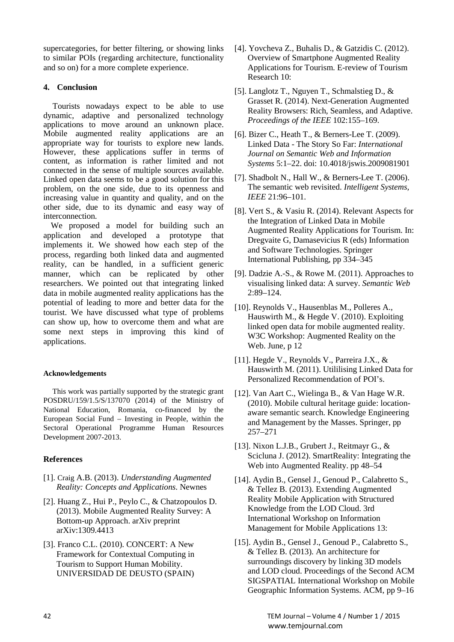supercategories, for better filtering, or showing links to similar POIs (regarding architecture, functionality and so on) for a more complete experience.

# **4. Conclusion**

 Tourists nowadays expect to be able to use dynamic, adaptive and personalized technology applications to move around an unknown place. Mobile augmented reality applications are an appropriate way for tourists to explore new lands. However, these applications suffer in terms of content, as information is rather limited and not connected in the sense of multiple sources available. Linked open data seems to be a good solution for this problem, on the one side, due to its openness and increasing value in quantity and quality, and on the other side, due to its dynamic and easy way of interconnection.

We proposed a model for building such an application and developed a prototype that implements it. We showed how each step of the process, regarding both linked data and augmented reality, can be handled, in a sufficient generic manner, which can be replicated by other researchers. We pointed out that integrating linked data in mobile augmented reality applications has the potential of leading to more and better data for the tourist. We have discussed what type of problems can show up, how to overcome them and what are some next steps in improving this kind of applications.

# **Acknowledgements**

This work was partially supported by the strategic grant POSDRU/159/1.5/S/137070 (2014) of the Ministry of National Education, Romania, co-financed by the European Social Fund – Investing in People, within the Sectoral Operational Programme Human Resources Development 2007-2013.

# **References**

- [1]. Craig A.B. (2013). *Understanding Augmented Reality: Concepts and Applications*. Newnes
- [2]. Huang Z., Hui P., Peylo C., & Chatzopoulos D. (2013). Mobile Augmented Reality Survey: A Bottom-up Approach. arXiv preprint arXiv:1309.4413
- [3]. Franco C.L. (2010). CONCERT: A New Framework for Contextual Computing in Tourism to Support Human Mobility. UNIVERSIDAD DE DEUSTO (SPAIN)
- [4]. Yovcheva Z., Buhalis D., & Gatzidis C. (2012). Overview of Smartphone Augmented Reality Applications for Tourism. E-review of Tourism Research 10:
- [5]. Langlotz T., Nguyen T., Schmalstieg D., & Grasset R. (2014). Next-Generation Augmented Reality Browsers: Rich, Seamless, and Adaptive. *Proceedings of the IEEE* 102:155–169.
- [6]. Bizer C., Heath T., & Berners-Lee T. (2009). Linked Data - The Story So Far: *International Journal on Semantic Web and Information Systems* 5:1–22. doi: 10.4018/jswis.2009081901
- [7]. Shadbolt N., Hall W., & Berners-Lee T. (2006). The semantic web revisited. *Intelligent Systems, IEEE* 21:96–101.
- [8]. Vert S., & Vasiu R. (2014). Relevant Aspects for the Integration of Linked Data in Mobile Augmented Reality Applications for Tourism. In: Dregvaite G, Damasevicius R (eds) Information and Software Technologies. Springer International Publishing, pp 334–345
- [9]. Dadzie A.-S., & Rowe M. (2011). Approaches to visualising linked data: A survey. *Semantic Web*  $2:89 - 124$ .
- [10]. Reynolds V., Hausenblas M., Polleres A., Hauswirth M., & Hegde V. (2010). Exploiting linked open data for mobile augmented reality. W3C Workshop: Augmented Reality on the Web. June, p 12
- [11]. Hegde V., Reynolds V., Parreira J.X., & Hauswirth M. (2011). Utililising Linked Data for Personalized Recommendation of POI's.
- [12]. Van Aart C., Wielinga B., & Van Hage W.R. (2010). Mobile cultural heritage guide: locationaware semantic search. Knowledge Engineering and Management by the Masses. Springer, pp 257–271
- [13]. Nixon L.J.B., Grubert J., Reitmayr G., & Scicluna J. (2012). SmartReality: Integrating the Web into Augmented Reality. pp 48–54
- [14]. Aydin B., Gensel J., Genoud P., Calabretto S., & Tellez B. (2013). Extending Augmented Reality Mobile Application with Structured Knowledge from the LOD Cloud. 3rd International Workshop on Information Management for Mobile Applications 13:
- [15]. Aydin B., Gensel J., Genoud P., Calabretto S., & Tellez B. (2013). An architecture for surroundings discovery by linking 3D models and LOD cloud. Proceedings of the Second ACM SIGSPATIAL International Workshop on Mobile Geographic Information Systems. ACM, pp 9–16

42 TEM Journal – Volume 4 / Number 1 / 2015 www.temjournal.com